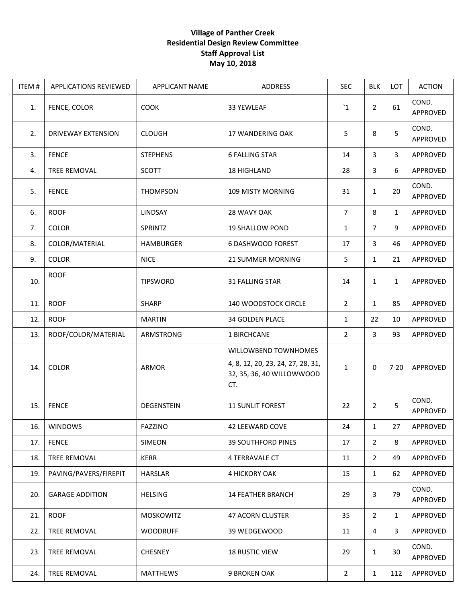## **Village of Panther Creek Residential Design Review Committee Staff Approval List May 10, 2018**

| ITEM# | <b>APPLICATIONS REVIEWED</b> | <b>APPLICANT NAME</b> | ADDRESS                                                                                       | <b>SEC</b>     | <b>BLK</b>     | <b>LOT</b>   | <b>ACTION</b>     |
|-------|------------------------------|-----------------------|-----------------------------------------------------------------------------------------------|----------------|----------------|--------------|-------------------|
| 1.    | FENCE, COLOR                 | <b>COOK</b>           | 33 YEWLEAF                                                                                    | $\mathbf{1}$   | $\overline{2}$ | 61           | COND.<br>APPROVED |
| 2.    | <b>DRIVEWAY EXTENSION</b>    | <b>CLOUGH</b>         | 17 WANDERING OAK                                                                              | 5              | 8              | 5            | COND.<br>APPROVED |
| 3.    | <b>FENCE</b>                 | <b>STEPHENS</b>       | <b>6 FALLING STAR</b>                                                                         | 14             | 3              | 3            | APPROVED          |
| 4.    | TREE REMOVAL                 | <b>SCOTT</b>          | <b>18 HIGHLAND</b>                                                                            | 28             | 3              | 6            | APPROVED          |
| 5.    | <b>FENCE</b>                 | <b>THOMPSON</b>       | <b>109 MISTY MORNING</b>                                                                      | 31             | $\mathbf{1}$   | 20           | COND.<br>APPROVED |
| 6.    | <b>ROOF</b>                  | <b>LINDSAY</b>        | 28 WAVY OAK                                                                                   | $\overline{7}$ | 8              | $\mathbf{1}$ | APPROVED          |
| 7.    | <b>COLOR</b>                 | <b>SPRINTZ</b>        | <b>19 SHALLOW POND</b>                                                                        | 1              | $\overline{7}$ | 9            | APPROVED          |
| 8.    | COLOR/MATERIAL               | <b>HAMBURGER</b>      | <b>6 DASHWOOD FOREST</b>                                                                      | 17             | 3              | 46           | APPROVED          |
| 9.    | <b>COLOR</b>                 | <b>NICE</b>           | 21 SUMMER MORNING                                                                             | 5              | $\mathbf{1}$   | 21           | APPROVED          |
| 10.   | <b>ROOF</b>                  | <b>TIPSWORD</b>       | 31 FALLING STAR                                                                               | 14             | $\mathbf{1}$   | 1            | APPROVED          |
| 11.   | <b>ROOF</b>                  | <b>SHARP</b>          | 140 WOODSTOCK CIRCLE                                                                          | $\overline{2}$ | $\mathbf{1}$   | 85           | APPROVED          |
| 12.   | <b>ROOF</b>                  | <b>MARTIN</b>         | 34 GOLDEN PLACE                                                                               | 1              | 22             | 10           | APPROVED          |
| 13.   | ROOF/COLOR/MATERIAL          | ARMSTRONG             | 1 BIRCHCANE                                                                                   | $\overline{2}$ | 3              | 93           | APPROVED          |
| 14.   | <b>COLOR</b>                 | <b>ARMOR</b>          | WILLOWBEND TOWNHOMES<br>4, 8, 12, 20, 23, 24, 27, 28, 31,<br>32, 35, 36, 40 WILLOWWOOD<br>CT. | 1              | 0              | $7 - 20$     | APPROVED          |
| 15.   | <b>FENCE</b>                 | DEGENSTEIN            | <b>11 SUNLIT FOREST</b>                                                                       | 22             | 2              | 5            | COND.<br>APPROVED |
| 16.   | <b>WINDOWS</b>               | <b>FAZZINO</b>        | 42 LEEWARD COVE                                                                               | 24             | $\mathbf{1}$   | 27           | APPROVED          |
| 17.   | <b>FENCE</b>                 | SIMEON                | <b>39 SOUTHFORD PINES</b>                                                                     | 17             | 2              | 8            | APPROVED          |
| 18.   | TREE REMOVAL                 | KERR                  | <b>4 TERRAVALE CT</b>                                                                         | 11             | $\overline{2}$ | 49           | APPROVED          |
| 19.   | PAVING/PAVERS/FIREPIT        | HARSLAR               | 4 HICKORY OAK                                                                                 | 15             | $\mathbf{1}$   | 62           | APPROVED          |
| 20.   | <b>GARAGE ADDITION</b>       | <b>HELSING</b>        | <b>14 FEATHER BRANCH</b>                                                                      | 29             | 3              | 79           | COND.<br>APPROVED |
| 21.   | <b>ROOF</b>                  | <b>MOSKOWITZ</b>      | 47 ACORN CLUSTER                                                                              | 35             | 2              | $\mathbf{1}$ | APPROVED          |
| 22.   | TREE REMOVAL                 | <b>WOODRUFF</b>       | 39 WEDGEWOOD                                                                                  | 11             | 4              | 3            | APPROVED          |
| 23.   | TREE REMOVAL                 | <b>CHESNEY</b>        | <b>18 RUSTIC VIEW</b>                                                                         | 29             | $\mathbf{1}$   | 30           | COND.<br>APPROVED |
| 24.   | TREE REMOVAL                 | <b>MATTHEWS</b>       | 9 BROKEN OAK                                                                                  | $\overline{2}$ | $\mathbf{1}$   | 112          | APPROVED          |